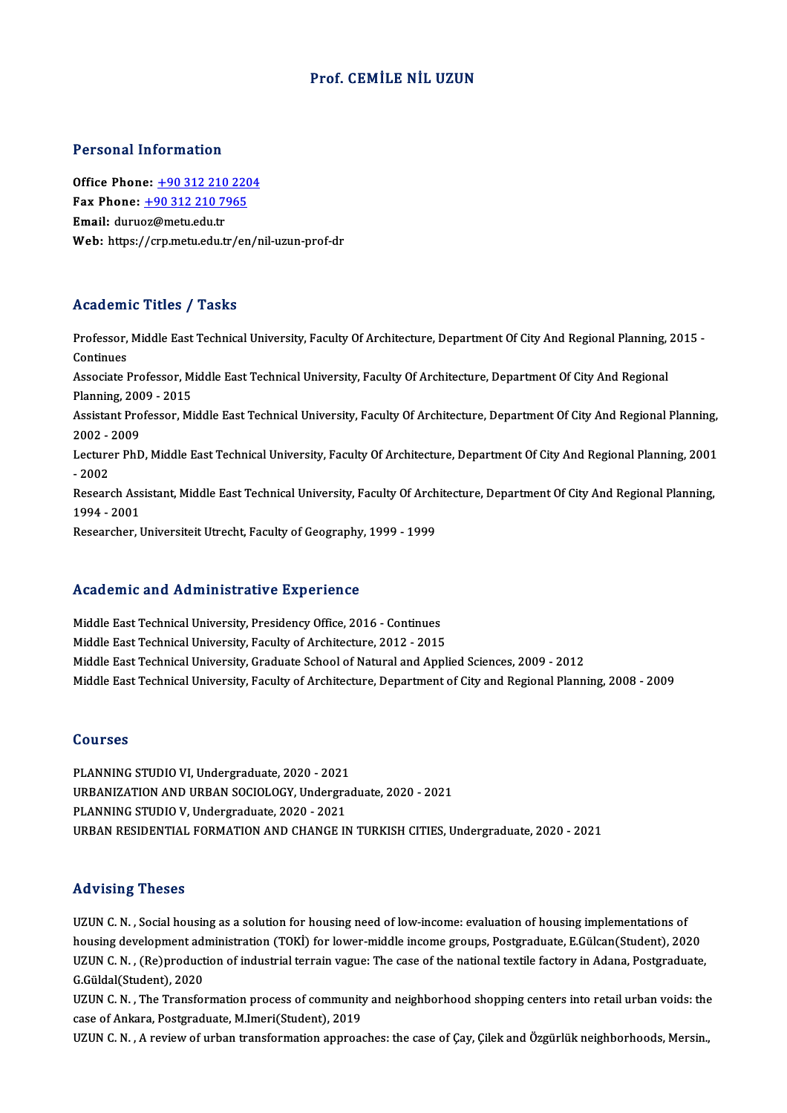## Prof. CEMİLE NİL UZUN

### Personal Information

Office Phone: +90 312 210 2204 1 9199111 11101 1111011<br>Office Phone: <u>+90 312 210 220</u><br>Fax Phone: <u>+90 312 210 7965</u> Office Phone: <u>+90 312 210</u><br>Fax Phone: <u>+90 312 210 79</u><br>Email: duru[oz@metu.edu.tr](tel:+90 312 210 7965) Email: duruoz@metu.edu.tr<br>Web: https://crp.metu.edu.tr/en/nil-uzun-prof-dr

### Academic Titles / Tasks

Academic Titles / Tasks<br>Professor, Middle East Technical University, Faculty Of Architecture, Department Of City And Regional Planning, 2015 -<br>Continues Professor,<br>Continues<br>Associate I Professor, Middle East Technical University, Faculty Of Architecture, Department Of City And Regional Planning,<br>Continues<br>Associate Professor, Middle East Technical University, Faculty Of Architecture, Department Of City A Continues<br>Associate Professor, Middle East Technical University, Faculty Of Architecture, Department Of City And Regional Assistant Professor, Middle East Technical University, Faculty Of Architecture, Department Of City And Regional Planning,<br>2002 - 2009 Planning, 2009 - 2015 Assistant Professor, Middle East Technical University, Faculty Of Architecture, Department Of City And Regional Planning,<br>2002 - 2009<br>Lecturer PhD, Middle East Technical University, Faculty Of Architecture, Department Of C 2002 - 1<br>Lecture<br>- 2002<br>Pesser: Lecturer PhD, Middle East Technical University, Faculty Of Architecture, Department Of City And Regional Planning, 2001<br>- 2002<br>Research Assistant, Middle East Technical University, Faculty Of Architecture, Department Of Ci - 2002<br>Research Assistant, Middle East Technical University, Faculty Of Architecture, Department Of City And Regional Planning,<br>1994 - 2001 Researcher, Universiteit Utrecht, Faculty of Geography, 1999 - 1999

## Academic and Administrative Experience

Middle East Technical University, Presidency Office, 2016 - Continues Middle East Technical University, Faculty of Architecture, 2012 - 2015 Middle East Technical University, Graduate School of Natural and Applied Sciences, 2009 - 2012 Middle East Technical University, Faculty of Architecture, Department of City and Regional Planning, 2008 - 2009

### Courses

Courses<br>PLANNING STUDIO VI, Undergraduate, 2020 - 2021<br>UPRANIZATION AND UPRAN SOCIOLOCY, Undergra URBANIZATION AND URBAN SOCIOLOGY, Undergraduate, 2020 - 2021<br>PLANNING STUDIO V, Undergraduate, 2020 - 2021 PLANNING STUDIO VI, Undergraduate, 2020 - 2021<br>URBANIZATION AND URBAN SOCIOLOGY, Undergra<br>PLANNING STUDIO V, Undergraduate, 2020 - 2021<br>URBAN RESIDENTIAL FORMATION AND CHANGE IN URBANRESIDENTIAL FORMATIONANDCHANGEINTURKISHCITIES,Undergraduate,2020 -2021

### Advising Theses

UZUN C.N., Social housing as a solution for housing need of low-income: evaluation of housing implementations of housing development administration (TOKİ) for lower-middle income groups, Postgraduate, E.Gülcan(Student), 2020 UZUN C. N. , Social housing as a solution for housing need of low-income: evaluation of housing implementations of<br>housing development administration (TOKİ) for lower-middle income groups, Postgraduate, E.Gülcan(Student), housing development ad:<br>UZUN C. N. , (Re)product<br>G.Güldal(Student), 2020<br>UZUN C. N. . The Transfol UZUN C. N. , (Re)production of industrial terrain vague: The case of the national textile factory in Adana, Postgraduate,<br>G.Güldal(Student), 2020<br>UZUN C. N. , The Transformation process of community and neighborhood shoppi

G.Güldal(Student), 2020<br>UZUN C. N. , The Transformation process of community and neighborhood shopping centers into retail urban voids: the<br>case of Ankara, Postgraduate, M.Imeri(Student), 2019<br>UZUN C. N. , A review of urba UZUN C.N., The Transformation process of community and neighborhood shopping centers into retail urban voids: the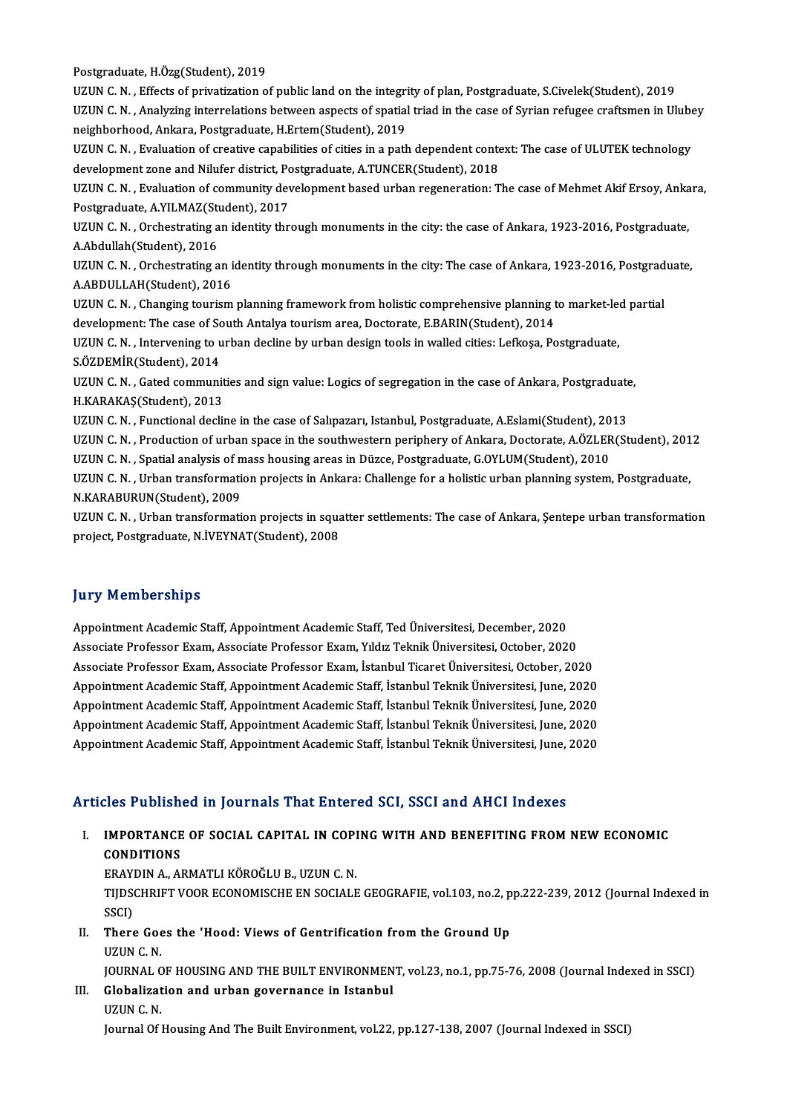Postgraduate, H.Özg(Student), 2019 Postgraduate, H.Özg(Student), 2019<br>UZUN C. N. , Effects of privatization of public land on the integrity of plan, Postgraduate, S.Civelek(Student), 2019<br>UZUN C. N. , Anakwing intervalations between aspects of spatial tried Postgraduate, H.Özg(Student), 2019<br>UZUN C. N. , Effects of privatization of public land on the integrity of plan, Postgraduate, S.Civelek(Student), 2019<br>UZUN C. N. , Analyzing interrelations between aspects of spatial tria UZUN C. N. , Effects of privatization of public land on the integriuding interrelations between aspects of spatial<br>neighborhood, Ankara, Postgraduate, H.Ertem(Student), 2019<br>1171IN C. N. Evaluation of greative capebilities UZUN C. N. , Analyzing interrelations between aspects of spatial triad in the case of Syrian refugee craftsmen in Ulube<br>neighborhood, Ankara, Postgraduate, H.Ertem(Student), 2019<br>UZUN C. N. , Evaluation of creative capabil neighborhood, Ankara, Postgraduate, H.Ertem(Student), 2019<br>UZUN C. N. , Evaluation of creative capabilities of cities in a path dependent conte<br>development zone and Nilufer district, Postgraduate, A.TUNCER(Student), 2018<br>U UZUN C. N. , Evaluation of creative capabilities of cities in a path dependent context: The case of ULUTEK technology<br>development zone and Nilufer district, Postgraduate, A.TUNCER(Student), 2018<br>UZUN C. N. , Evaluation of development zone and Nilufer district, Pc<br>UZUN C. N. , Evaluation of community dev<br>Postgraduate, A.YILMAZ(Student), 2017<br>UZUN C. N. Orchestrating an identity thr UZUN C. N. , Evaluation of community development based urban regeneration: The case of Mehmet Akif Ersoy, Anka<br>Postgraduate, A.YILMAZ(Student), 2017<br>UZUN C. N. , Orchestrating an identity through monuments in the city: the Postgraduate, A.YILMAZ(Student), 2017<br>UZUN C. N. , Orchestrating an identity through monuments in the city: the case of Ankara, 1923-2016, Postgraduate,<br>A.Abdullah(Student), 2016 UZUN C. N. , Orchestrating an identity through monuments in the city: the case of Ankara, 1923-2016, Postgraduate,<br>A.Abdullah(Student), 2016<br>UZUN C. N. , Orchestrating an identity through monuments in the city: The case of A.Abdullah(Student), 2016<br>UZUN C. N. , Orchestrating an i<br>A.ABDULLAH(Student), 2016<br>UZUN C. N. , Changing tourism UZUN C. N. , Orchestrating an identity through monuments in the city: The case of Ankara, 1923-2016, Postgrad<br>A.ABDULLAH(Student), 2016<br>UZUN C. N. , Changing tourism planning framework from holistic comprehensive planning A.ABDULLAH(Student), 2016<br>UZUN C. N. , Changing tourism planning framework from holistic comprehensive planning t<br>development: The case of South Antalya tourism area, Doctorate, E.BARIN(Student), 2014<br>UZUN C. N. , Interven UZUN C. N. , Changing tourism planning framework from holistic comprehensive planning to market-led partial development: The case of South Antalya tourism area, Doctorate, E.BARIN(Student), 2014<br>UZUN C. N. , Intervening to development: The case of Sc<br>UZUN C. N. , Intervening to u<br>S.ÖZDEMİR(Student), 2014<br>UZUN C. N. , Gated semmuni UZUN C. N. , Intervening to urban decline by urban design tools in walled cities: Lefkoşa, Postgraduate,<br>S.ÖZDEMİR(Student), 2014<br>UZUN C. N. , Gated communities and sign value: Logics of segregation in the case of Ankara, S.ÖZDEMİR(Student), 2014<br>UZUN C. N. , Gated communit<br>H.KARAKAŞ(Student), 2013<br>UZUN C. N. , Eunstianal desli UZUN C. N. , Gated communities and sign value: Logics of segregation in the case of Ankara, Postgraduate<br>H.KARAKAŞ(Student), 2013<br>UZUN C. N. , Functional decline in the case of Salıpazarı, Istanbul, Postgraduate, A.Eslami( H.KARAKAŞ(Student), 2013<br>UZUN C. N. , Functional decline in the case of Salıpazarı, Istanbul, Postgraduate, A.Eslami(Student), 2013<br>UZUN C. N. , Production of urban space in the southwestern periphery of Ankara, Doctorate, UZUN C. N. , Functional decline in the case of Salıpazarı, Istanbul, Postgraduate, A.Eslami(Student), 2013<br>UZUN C. N. , Production of urban space in the southwestern periphery of Ankara, Doctorate, A.ÖZLER(Student), 201<br>UZ UZUN C. N. , Production of urban space in the southwestern periphery of Ankara, Doctorate, A.ÖZLER(Student), 201<br>UZUN C. N. , Spatial analysis of mass housing areas in Düzce, Postgraduate, G.OYLUM(Student), 2010<br>UZUN C. N. UZUN C. N. , Spatial analysis of mass housing areas in Düzce, Postgraduate, G.OYLUM(Student), 2010<br>UZUN C. N. , Urban transformation projects in Ankara: Challenge for a holistic urban planning system<br>N.KARABURUN(Student), UZUN C. N. , Urban transformation projects in Ankara: Challenge for a holistic urban planning system, Postgraduate,<br>N.KARABURUN(Student), 2009<br>UZUN C. N. , Urban transformation projects in squatter settlements: The case of

N.KARABURUN(Student), 2009<br>UZUN C. N. , Urban transformation projects in squa<br>project, Postgraduate, N.İVEYNAT(Student), 2008 project, Postgraduate, N.İVEYNAT(Student), 2008<br>Jury Memberships

**Jury Memberships<br>Appointment Academic Staff, Appointment Academic Staff, Ted Üniversitesi, December, 2020<br>Asseriste Brefessor From, Asseriste Brefessor From, Vildr Telmik Üniversitesi, Osteber, 2020** Appointment Academic Staff, Appointment Academic Staff, Ted Üniversitesi, December, 2020<br>Associate Professor Exam, Associate Professor Exam, Yıldız Teknik Üniversitesi, October, 2020<br>Associate Professor Exam, Associate Pro Appointment Academic Staff, Appointment Academic Staff, Ted Üniversitesi, December, 2020<br>Associate Professor Exam, Associate Professor Exam, Yıldız Teknik Üniversitesi, October, 2020<br>Associate Professor Exam, Associate Pro Associate Professor Exam, Associate Professor Exam, Yıldız Teknik Üniversitesi, October, 2020<br>Associate Professor Exam, Associate Professor Exam, İstanbul Ticaret Üniversitesi, October, 2020<br>Appointment Academic Staff, App Associate Professor Exam, Associate Professor Exam, İstanbul Ticaret Üniversitesi, October, 2020<br>Appointment Academic Staff, Appointment Academic Staff, İstanbul Teknik Üniversitesi, June, 2020<br>Appointment Academic Staff, Appointment Academic Staff, Appointment Academic Staff, İstanbul Teknik Üniversitesi, June, 2020<br>Appointment Academic Staff, Appointment Academic Staff, İstanbul Teknik Üniversitesi, June, 2020<br>Appointment Academic Staff, Appointment Academic Staff, Appointment Academic Staff, İstanbul Teknik Üniversitesi, June, 2020<br>Appointment Academic Staff, Appointment Academic Staff, İstanbul Teknik Üniversitesi, June, 2020<br>Appointment Academic Staff, Appointment Academic Staff, Appointment Academic Staff, İstanbul Teknik Üniversitesi, June, 2020<br>Articles Published in Journals That Entered SCI, SSCI and AHCI Indexes

rticles Published in Journals That Entered SCI, SSCI and AHCI Indexes<br>I. IMPORTANCE OF SOCIAL CAPITAL IN COPING WITH AND BENEFITING FROM NEW ECONOMIC<br>CONDITIONS INPORTANCE<br>CONDITIONS<br>EPAYDIN A .AI IMPORTANCE OF SOCIAL CAPITAL IN COPI<br>CONDITIONS<br>ERAYDIN A., ARMATLI KÖROĞLU B., UZUN C. N.<br>TUDSCHRIET VOOR ECONOMISCHE EN SOCIALE

CONDITIONS<br>ERAYDIN A., ARMATLI KÖROĞLU B., UZUN C. N.<br>TIJDSCHRIFT VOOR ECONOMISCHE EN SOCIALE GEOGRAFIE, vol.103, no.2, pp.222-239, 2012 (Journal Indexed in<br>SSCI) ERAY<br>TIJDS<br>SSCI)<br>Thore TIJDSCHRIFT VOOR ECONOMISCHE EN SOCIALE GEOGRAFIE, vol.103, no.2, p<br>SSCI)<br>II. There Goes the 'Hood: Views of Gentrification from the Ground Up<br>IIZIN C N

SSCI)<br>There Goe<br>UZUN C. N.<br>JOUPNAL C UZUN C. N.<br>JOURNAL OF HOUSING AND THE BUILT ENVIRONMENT, vol.23, no.1, pp.75-76, 2008 (Journal Indexed in SSCI)

UZUN C. N.<br>JOURNAL OF HOUSING AND THE BUILT ENVIRONMEN<br>III. Globalization and urban governance in Istanbul<br>ITZUN C. N JOURNAL C<br>Globalizat<br>UZUN C. N.<br>Journal Of 1

UZUN C. N.<br>Journal Of Housing And The Built Environment, vol.22, pp.127-138, 2007 (Journal Indexed in SSCI)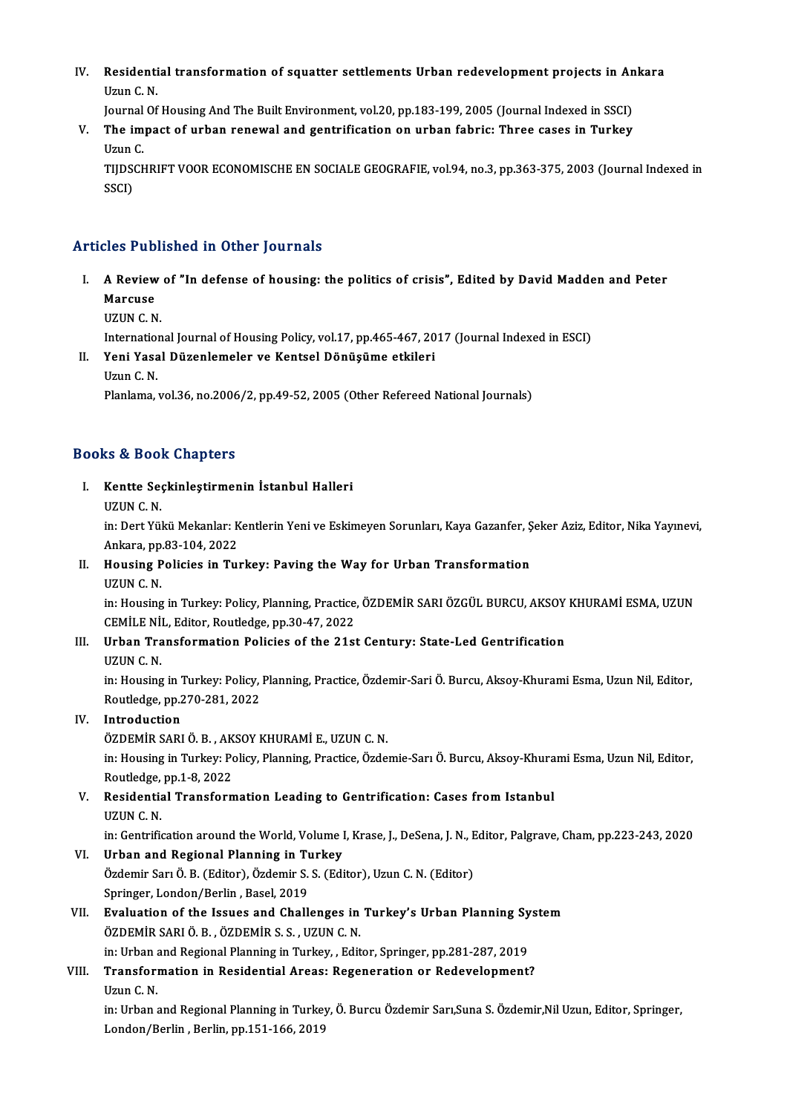IV. Residential transformation of squatter settlements Urban redevelopment projects in Ankara Residenti<br>Uzun C. N.<br>Journal Of Residential transformation of squatter settlements Urban redevelopment projects in An<br>Uzun C. N.<br>Journal Of Housing And The Built Environment, vol.20, pp.183-199, 2005 (Journal Indexed in SSCI)<br>The impact of urban repoysel

Journal Of Housing And The Built Environment, vol.20, pp.183-199, 2005 (Journal Indexed in SSCI)

Uzun C. N.<br>Journal Of Housing And The Built Environment, vol.20, pp.183-199, 2005 (Journal Indexed in SSCI)<br>V. The impact of urban renewal and gentrification on urban fabric: Three cases in Turkey<br>Uzun C. The impact of urban renewal and gentrification on urban fabric: Three cases in Turkey<br>Uzun C.<br>TIJDSCHRIFT VOOR ECONOMISCHE EN SOCIALE GEOGRAFIE, vol.94, no.3, pp.363-375, 2003 (Journal Indexed in<br>SSCD

Uzun (<br>TIJDS(<br>SSCI)

# Articles Published in Other Journals

- rticles Published in Other Journals<br>I. A Review of "In defense of housing: the politics of crisis", Edited by David Madden and Peter<br>Margues A Review<br>Marcuse<br>UZUN C N A Review<br>Marcuse<br>UZUN C. N.<br>Internation Marcuse<br>UZUN C. N.<br>International Journal of Housing Policy, vol.17, pp.465-467, 2017 (Journal Indexed in ESCI)<br>Yoni Yasal Dürenlamalar ve Kantaal Dönüşüme etkileri
	-

Internation<br>Yeni Yasa<br>Uzun C. N.<br>Planlama

# UZUN C. N.<br>International Journal of Housing Policy, vol.17, pp.465-467, 20<br>II. Yeni Yasal Düzenlemeler ve Kentsel Dönüşüme etkileri<br>Uzun C. N.

Planlama, vol.36, no.2006/2, pp.49-52, 2005 (Other Refereed National Journals)

## Books&Book Chapters

ooks & Book Chapters<br>I. Kentte Seçkinleştirmenin İstanbul Halleri<br>UZUN C.N Kentte Seg<br>UZUN C. N.<br>in: Dort <sup>Völ</sup>

Kentte Seçkinleştirmenin İstanbul Halleri<br>UZUN C. N.<br>in: Dert Yükü Mekanlar: Kentlerin Yeni ve Eskimeyen Sorunları, Kaya Gazanfer, Şeker Aziz, Editor, Nika Yayınevi, UZUN C. N.<br>in: Dert Yükü Mekanlar: K<br>Ankara, pp.83-104, 2022<br>Housing Polisies in Tu in: Dert Yükü Mekanlar: Kentlerin Yeni ve Eskimeyen Sorunları, Kaya Gazanfer, Ş<br>Ankara, pp.83-104, 2022<br>II. Housing Policies in Turkey: Paving the Way for Urban Transformation<br>ITIIN C.N

# Ankara, pp.<br><mark>Housing P</mark><br>UZUN C. N.<br>in: Housing

Housing Policies in Turkey: Paving the Way for Urban Transformation<br>UZUN C. N.<br>in: Housing in Turkey: Policy, Planning, Practice, ÖZDEMİR SARI ÖZGÜL BURCU, AKSOY KHURAMİ ESMA, UZUN<br>CEMİLE NİL, Editor Poutledge np.30.47.202 UZUN C. N.<br>in: Housing in Turkey: Policy, Planning, Practice<br>CEMİLE NİL, Editor, Routledge, pp.30-47, 2022<br>Urban Trangformation Polisies of the 31st in: Housing in Turkey: Policy, Planning, Practice, ÖZDEMİR SARI ÖZGÜL BURCU, AKSOY<br>CEMİLE NİL, Editor, Routledge, pp.30-47, 2022<br>III. Urban Transformation Policies of the 21st Century: State-Led Gentrification<br>ITIN C. N

CEMILE NI<br>Urban Tra<br>UZUN C. N.<br>in: Housing

Urban Transformation Policies of the 21st Century: State-Led Gentrification<br>UZUN C. N.<br>in: Housing in Turkey: Policy, Planning, Practice, Özdemir-Sari Ö. Burcu, Aksoy-Khurami Esma, Uzun Nil, Editor,<br>Poutledge np 270-281-20 UZUN C. N.<br>in: Housing in Turkey: Policy, .<br>Routledge, pp.270-281, 2022<br>Introduction Routledge, pp.270-281, 2022<br>IV. Introduction

ÖZDEMİRSARIÖ.B. ,AKSOYKHURAMİE.,UZUNC.N. Introduction<br>ÖZDEMİR SARI Ö. B. , AKSOY KHURAMİ E., UZUN C. N.<br>in: Housing in Turkey: Policy, Planning, Practice, Özdemie-Sarı Ö. Burcu, Aksoy-Khurami Esma, Uzun Nil, Editor,<br>Routladge nn 1-8-2022 ÖZDEMİR SARI Ö. B. , AK<br>in: Housing in Turkey: Po<br>Routledge, pp.1-8, 2022<br>Posidential Transform in: Housing in Turkey: Policy, Planning, Practice, Özdemie-Sarı Ö. Burcu, Aksoy-Khura<br>Routledge, pp.1-8, 2022<br>V. Residential Transformation Leading to Gentrification: Cases from Istanbul<br>UZUN C. N

# Routledge, pp.1-8, 2022<br>V. Residential Transformation Leading to Gentrification: Cases from Istanbul<br>UZUN C. N.

in: Gentrification around the World, Volume I, Krase, J., DeSena, J. N., Editor, Palgrave, Cham, pp.223-243, 2020

- VI. Urban and Regional Planning in Turkey in: Gentrification around the World, Volume I, Krase, J., DeSena, J. N., E<br>Urban and Regional Planning in Turkey<br>Özdemir Sarı Ö. B. (Editor), Özdemir S. S. (Editor), Uzun C. N. (Editor)<br>Saringer Lender (Berlin, Besel, 2019 Urban and Regional Planning in Tu<br>Özdemir Sarı Ö. B. (Editor), Özdemir S.<br>Springer, London/Berlin, Basel, 2019<br>Evaluation of the Jesues and Chall Özdemir Sarı Ö. B. (Editor), Özdemir S. S. (Editor), Uzun C. N. (Editor)<br>Springer, London/Berlin , Basel, 2019<br>VII. Evaluation of the Issues and Challenges in Turkey's Urban Planning System<br>ÖZDEMİR SARLÖ R. ÖZDEMİR S. S. U
- Springer, London/Berlin , Basel, 2019<br>Evaluation of the Issues and Challenges in<br>ÖZDEMİR SARI Ö. B. , ÖZDEMİR S. S. , UZUN C. N. Evaluation of the Issues and Challenges in Turkey's Urban Planning Sy<br>ÖZDEMİR SARI Ö. B. , ÖZDEMİR S. S. , UZUN C. N.<br>in: Urban and Regional Planning in Turkey, , Editor, Springer, pp.281-287, 2019<br>Transformation in Peside in: Urban and Regional Planning in Turkey, , Editor, Springer, pp.281-287, 2019
- VIII. Transformation in Residential Areas: Regeneration or Redevelopment?<br>Uzun C. N.

Transformation in Residential Areas: Regeneration or Redevelopment?<br>Uzun C. N.<br>in: Urban and Regional Planning in Turkey, Ö. Burcu Özdemir Sarı,Suna S. Özdemir,Nil Uzun, Editor, Springer,<br>London/Berlin, Berlin, pp.151,166, Uzun C. N.<br>in: Urban and Regional Planning in Turke<sub>.</sub><br>London/Berlin , Berlin, pp.151-166, 2019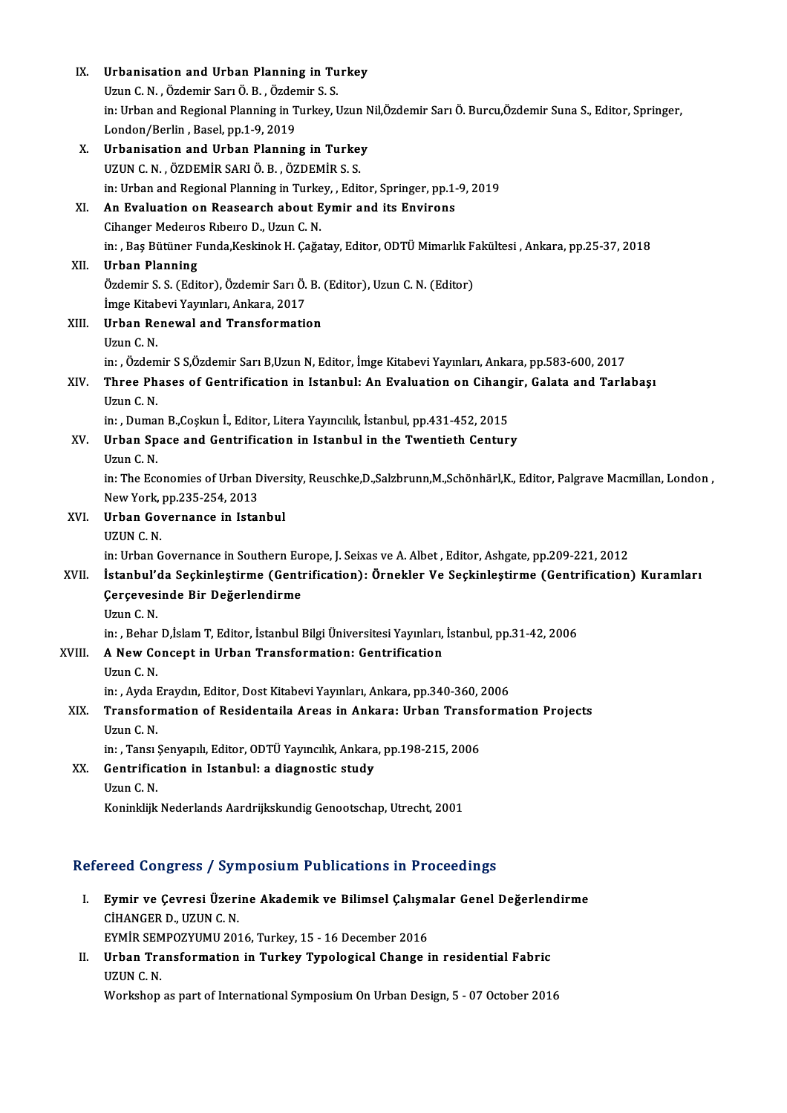| IX.    | Urbanisation and Urban Planning in Turkey                                                                        |
|--------|------------------------------------------------------------------------------------------------------------------|
|        | Uzun C. N., Özdemir Sarı Ö. B., Özdemir S. S.                                                                    |
|        | in: Urban and Regional Planning in Turkey, Uzun Nil, Özdemir Sarı Ö. Burcu, Özdemir Suna S., Editor, Springer,   |
|        | London/Berlin, Basel, pp.1-9, 2019                                                                               |
| Х.     | Urbanisation and Urban Planning in Turkey                                                                        |
|        | UZUN C. N., ÖZDEMİR SARI Ö. B., ÖZDEMİR S. S.                                                                    |
|        | in: Urban and Regional Planning in Turkey, , Editor, Springer, pp.1-9, 2019                                      |
| XI.    | An Evaluation on Reasearch about Eymir and its Environs                                                          |
|        | Cihanger Medeiros Ribeiro D., Uzun C. N.                                                                         |
|        | in: , Baş Bütüner Funda, Keskinok H. Çağatay, Editor, ODTÜ Mimarlık Fakültesi, Ankara, pp.25-37, 2018            |
| XII.   | <b>Urban Planning</b>                                                                                            |
|        | Özdemir S. S. (Editor), Özdemir Sarı Ö. B. (Editor), Uzun C. N. (Editor)                                         |
|        | İmge Kitabevi Yayınları, Ankara, 2017                                                                            |
| XIII.  | <b>Urban Renewal and Transformation</b>                                                                          |
|        | Uzun C N                                                                                                         |
|        | in: , Özdemir S S,Özdemir Sarı B,Uzun N, Editor, İmge Kitabevi Yayınları, Ankara, pp.583-600, 2017               |
| XIV.   | Three Phases of Gentrification in Istanbul: An Evaluation on Cihangir, Galata and Tarlabaşı                      |
|        | Uzun C N                                                                                                         |
|        | in: , Duman B., Coşkun İ., Editor, Litera Yayıncılık, İstanbul, pp. 431-452, 2015                                |
| XV.    | Urban Space and Gentrification in Istanbul in the Twentieth Century                                              |
|        | Uzun C N.                                                                                                        |
|        | in: The Economies of Urban Diversity, Reuschke,D.,Salzbrunn,M.,Schönhärl,K., Editor, Palgrave Macmillan, London, |
|        | New York, pp.235-254, 2013                                                                                       |
| XVI.   | Urban Governance in Istanbul                                                                                     |
|        | UZUN C. N.                                                                                                       |
|        | in: Urban Governance in Southern Europe, J. Seixas ve A. Albet, Editor, Ashgate, pp.209-221, 2012                |
| XVII.  | İstanbul'da Seçkinleştirme (Gentrification): Örnekler Ve Seçkinleştirme (Gentrification) Kuramları               |
|        | Çerçevesinde Bir Değerlendirme                                                                                   |
|        | Uzun C. N                                                                                                        |
|        | in: , Behar D,İslam T, Editor, İstanbul Bilgi Üniversitesi Yayınları, İstanbul, pp.31-42, 2006                   |
| XVIII. | A New Concept in Urban Transformation: Gentrification                                                            |
|        | Uzun C N                                                                                                         |
|        | in: , Ayda Eraydın, Editor, Dost Kitabevi Yayınları, Ankara, pp.340-360, 2006                                    |
| XIX.   | Transformation of Residentaila Areas in Ankara: Urban Transformation Projects                                    |
|        | Uzun C. N.                                                                                                       |
|        | in: , Tansı Şenyapılı, Editor, ODTÜ Yayıncılık, Ankara, pp.198-215, 2006                                         |
| XX.    | Gentrification in Istanbul: a diagnostic study                                                                   |
|        | Uzun C. N.                                                                                                       |
|        | Koninklijk Nederlands Aardrijkskundig Genootschap, Utrecht, 2001                                                 |
|        |                                                                                                                  |

## Refereed Congress / Symposium Publications in Proceedings

- efereed Congress / Symposium Publications in Proceedings<br>I. Eymir ve Çevresi Üzerine Akademik ve Bilimsel Çalışmalar Genel Değerlendirme<br>CHANGER D, HZUNG N Eymir ve Çevresi Üzeri<br>CİHANGER D., UZUN C. N.<br>EYMİR SEMPOZYUMLI 202 Eymir ve Çevresi Üzerine Akademik ve Bilimsel Çalışm<br>CİHANGER D., UZUN C. N.<br>EYMİR SEMPOZYUMU 2016, Turkey, 15 - 16 December 2016<br>Urban Transformation in Turkey Turological Chango i CİHANGER D., UZUN C. N.<br>EYMİR SEMPOZYUMU 2016, Turkey, 15 - 16 December 2016<br>II. Urban Transformation in Turkey Typological Change in residential Fabric<br>UZUN C.N
- EYMIR SEM<br>Urban Tra<br>UZUN C. N.<br>Workebon Urban Transformation in Turkey Typological Change in residential Fabric<br>UZUN C. N.<br>Workshop as part of International Symposium On Urban Design, 5 - 07 October 2016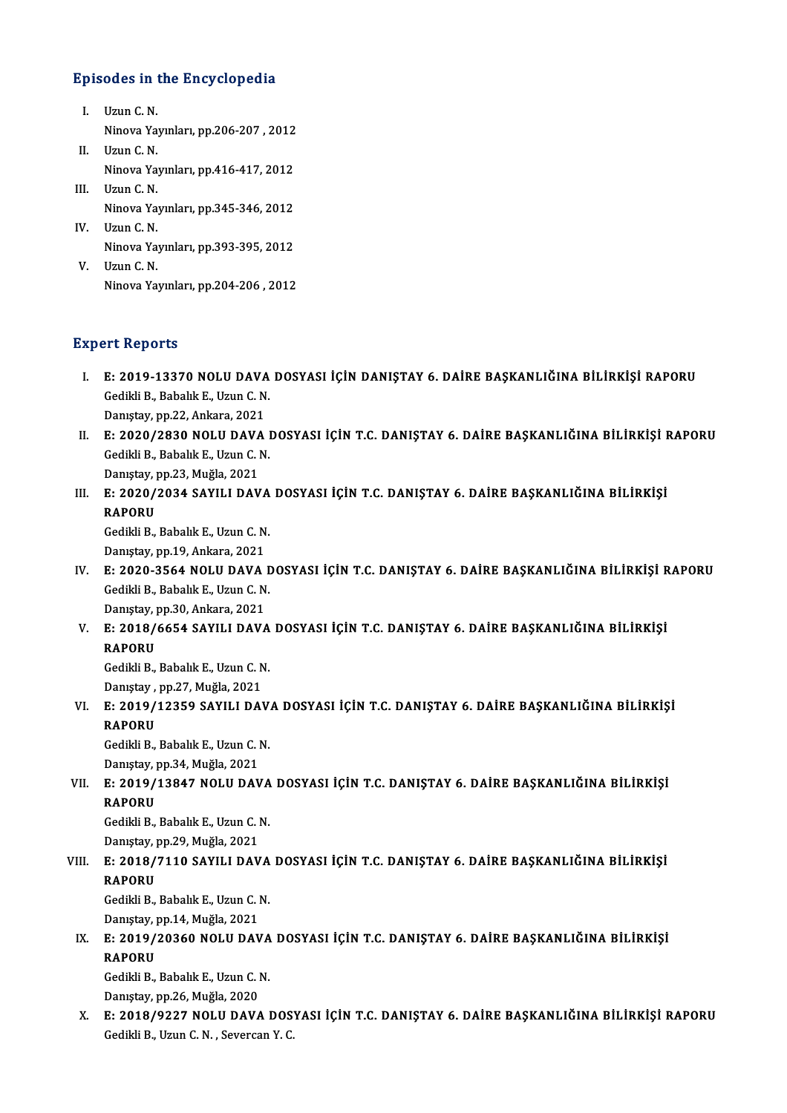# Episodes in the Encyclopedia

- pisodes in the Uzun C. N.<br>I. Uzun C. N. Ninova Yayınları, pp.206-207 , 2012<br>Ninova Yayınları, pp.206-207 , 2012<br>Havn G. N I. Uzun C. N.<br>Ninova Ya<br>II. Uzun C. N.
- Ninova Yayınları, pp.206-207 , 2012<br>Uzun C. N.<br>Ninova Yayınları, pp.416-417, 2012<br>Uzun C. N II. Uzun C. N.<br>Ninova Ya<br>III. Uzun C. N.<br>Ninova Yo
- Ninova Yayınları, pp.416-417, 2012<br>Uzun C. N.<br>Ninova Yayınları, pp.345-346, 2012<br>Uzun C. N III. Uzun C. N.<br>Ninova Ya<br>IV. Uzun C. N.<br>Ninova Ya Ninova Yayınları, pp.345-346, 2012<br>Uzun C. N.<br>Ninova Yayınları, pp.393-395, 2012<br>Uzun C. N

V. Uzun C. N.<br>Ninova Ya<br>V. Uzun C. N. Ninova Yayınları, pp.393-395, 2012<br>V. Uzun C. N.<br>Ninova Yayınları, pp.204-206 , 2012

## **Expert Reports**

- Xpert Reports<br>I. E: 2019-13370 NOLU DAVA DOSYASI İÇİN DANIŞTAY 6. DAİRE BAŞKANLIĞINA BİLİRKİŞİ RAPORU<br>. Cedibli B. Pabalık E. Hrun C. N Gedikli B., Babalık E., Uzun C.N.<br>Gedikli B., Babalık E., Uzun C.N.<br>Danıstav, nn 22. Ankara, 2021 E: 2019-13370 NOLU DAVA<br>Gedikli B., Babalık E., Uzun C. N<br>Danıştay, pp.22, Ankara, 2021<br>E. 2020/2930 NOLU DAVA
- Gedikli B., Babalık E., Uzun C. N.<br>Danıştay, pp.22, Ankara, 2021<br>II. E: 2020/2830 NOLU DAVA DOSYASI İÇİN T.C. DANIŞTAY 6. DAİRE BAŞKANLIĞINA BİLİRKİŞİ RAPORU<br>Cedikli B. Babalık E. Huyn C. N Danıştay, pp.22, Ankara, 2021<br>E: 2020/2830 NOLU DAVA I<br>Gedikli B., Babalık E., Uzun C. N.<br>Danıstay, pp.22, Mužla, 2021 E: 2020/2830 NOLU DAVA<br>Gedikli B., Babalık E., Uzun C. I<br>Danıştay, pp.23, Muğla, 2021<br>E. 2020/2024 SAYU L DAV Gedikli B., Babalık E., Uzun C. N.<br>Danıştay, pp.23, Muğla, 2021<br>III. E: 2020/2034 SAYILI DAVA DOSYASI İÇİN T.C. DANIŞTAY 6. DAİRE BAŞKANLIĞINA BİLİRKİŞİ<br>RAROPU
- Daniştay, <mark>I</mark><br>E: 2020/<br>RAPORU<br>Gedildi B E: 2020/2034 SAYILI DAVA<br>RAPORU<br>Gedikli B., Babalık E., Uzun C. N.<br>Danıstav, nn 19. Anliana 2021

RAPORU<br>Gedikli B., Babalık E., Uzun C. N.<br>Danıştay, pp.19, Ankara, 2021

- Gedikli B., Babalık E., Uzun C. N.<br>Danıştay, pp.19, Ankara, 2021<br>IV. E: 2020-3564 NOLU DAVA DOSYASI İÇİN T.C. DANIŞTAY 6. DAİRE BAŞKANLIĞINA BİLİRKİŞİ RAPORU<br>Cedikli B. Pabalık E. Uzun C. N Danıştay, pp.19, Ankara, 2021<br>E: 2020-3564 NOLU DAVA D<br>Gedikli B., Babalık E., Uzun C. N.<br>Danıstay, pp.20, Ankara, 2021 E: 2020-3564 NOLU DAVA<br>Gedikli B., Babalık E., Uzun C. N<br>Danıştay, pp.30, Ankara, 2021<br>E. 2019/6654 SAVILL DAVA Gedikli B., Babalık E., Uzun C. N.<br>Danıştay, pp.30, Ankara, 2021<br>V. E: 2018/6654 SAYILI DAVA DOSYASI İÇİN T.C. DANIŞTAY 6. DAİRE BAŞKANLIĞINA BİLİRKİŞİ<br>RARORIJ
- Daniştay, <mark>I</mark><br>E: 2018/<br>RAPORU<br>Cedikli P E: 2018/6654 SAYILI DAVA<br>RAPORU<br>Gedikli B., Babalık E., Uzun C. N.<br>Danıstav, pp.27. Muğla 2021

RAPORU<br>Gedikli B., Babalık E., Uzun C. N.<br>Danıştay , pp.27, Muğla, 2021

Gedikli B., Babalık E., Uzun C. N.<br>Danıştay , pp.27, Muğla, 2021<br>VI. E: 2019/12359 SAYILI DAVA DOSYASI İÇİN T.C. DANIŞTAY 6. DAİRE BAŞKANLIĞINA BİLİRKİŞİ<br>RAROPU Daniştay ,<br>E: 2019/<br>RAPORU<br>Cedildi P E: 2019/12359 SAYILI DAV.<br>RAPORU<br>Gedikli B., Babalık E., Uzun C. N.<br>Danıstav, np.34. Muğla 2021.

RAPORU<br>Gedikli B., Babalık E., Uzun C. N.<br>Danıştay, pp.34, Muğla, 2021

# Gedikli B., Babalık E., Uzun C. N.<br>Danıştay, pp.34, Muğla, 2021<br>VII. E: 2019/13847 NOLU DAVA DOSYASI İÇİN T.C. DANIŞTAY 6. DAİRE BAŞKANLIĞINA BİLİRKİŞİ<br>RARORU Danıştay, <sub>l</sub><br>E: 2019/<br>RAPORU<br><sup>Codil-li P</sup> E: 2019/13847 NOLU DAVA<br>RAPORU<br>Gedikli B., Babalık E., Uzun C. N.<br>Danıstav, nn 39. Mužla 3031.

RAPORU<br>Gedikli B., Babalık E., Uzun C. N.<br>Danıştay, pp.29, Muğla, 2021

# Gedikli B., Babalık E., Uzun C. N.<br>Danıştay, pp.29, Muğla, 2021<br>VIII. E: 2018/7110 SAYILI DAVA DOSYASI İÇİN T.C. DANIŞTAY 6. DAİRE BAŞKANLIĞINA BİLİRKİŞİ<br>RARORU Danıştay, <sub>l</sub><br>E: 2018/<br>RAPORU<br><sup>Codikli P</sup> E: 2018/7110 SAYILI DAVA<br>RAPORU<br>Gedikli B., Babalık E., Uzun C. N.<br>Danıstav.nn 14. Muğla 2021

RAPORU<br>Gedikli B., Babalık E., Uzun C. N.<br>Danıştay, pp.14, Muğla, 2021

Gedikli B., Babalık E., Uzun C. N.<br>Danıştay, pp.14, Muğla, 2021<br>IX. E: 2019/20360 NOLU DAVA DOSYASI İÇİN T.C. DANIŞTAY 6. DAİRE BAŞKANLIĞINA BİLİRKİŞİ<br>RAROPU Daniştay, <mark>I</mark><br>E: 2019/<br>RAPORU<br>Cedikli P E: 2019/20360 NOLU DAVA<br>RAPORU<br>Gedikli B., Babalık E., Uzun C. N.<br>Danıstav, nn 26 Muğla 2020 RAPORU<br>Gedikli B., Babalık E., Uzun C. N.<br>Danıştay, pp.26, Muğla, 2020

- 
- Gedikli B., Babalık E., Uzun C. N.<br>Danıştay, pp.26, Muğla, 2020<br>X. E: 2018/9227 NOLU DAVA DOSYASI İÇİN T.C. DANIŞTAY 6. DAİRE BAŞKANLIĞINA BİLİRKİŞİ RAPORU<br>Cedildi B. Haun C. N. Severson Y. C Danıştay, pp.26, Muğla, 2020<br>E: 2018/9227 NOLU DAVA DOS<br>Gedikli B., Uzun C. N. , Severcan Y. C.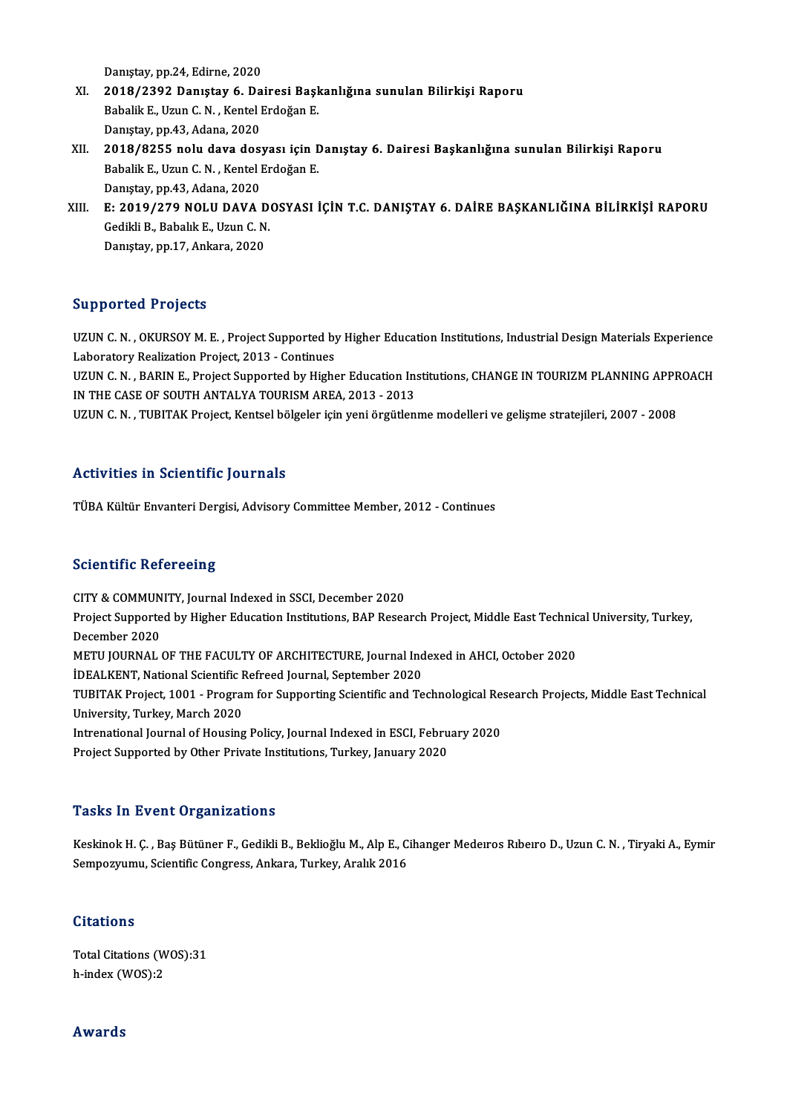Danıştay, pp.24, Edirne, 2020

- Danıştay, pp.24, Edirne, 2020<br>XI. 2018/2392 Danıştay 6. Dairesi Başkanlığına sunulan Bilirkişi Raporu<br>Rabalik E. Havn C.N., Kantal Endağan E. Danıştay, pp.24, Edirne, 2020<br>2018/2392 Danıştay 6. Dairesi Başl<br>Babalik E., Uzun C. N. , Kentel Erdoğan E.<br>Penystay nn 43. Adapa 2020 2018/2392 Danıştay 6. Da<br>Babalik E., Uzun C. N. , Kentel I<br>Danıştay, pp.43, Adana, 2020<br>2018/9255 nelu dava daşı Babalik E., Uzun C. N. , Kentel Erdoğan E.<br>Danıştay, pp.43, Adana, 2020<br>XII. 2018/8255 nolu dava dosyası için Danıştay 6. Dairesi Başkanlığına sunulan Bilirkişi Raporu<br>Rabalik E. Uzun C. N. Kentel Erdoğan E
- Danıştay, pp.43, Adana, 2020<br>**2018/8255 nolu dava dosyası için I**<br>Babalik E., Uzun C. N. , Kentel Erdoğan E.<br>Danıstay nn.43, Adana, 2020 2018/8255 nolu dava dos:<br>Babalik E., Uzun C. N. , Kentel l<br>Danıştay, pp.43, Adana, 2020<br>E. 2019/279 NOLU DAVA l Babalik E., Uzun C. N. , Kentel Erdoğan E.<br>Danıştay, pp.43, Adana, 2020<br>XIII. E: 2019/279 NOLU DAVA DOSYASI İÇİN T.C. DANIŞTAY 6. DAİRE BAŞKANLIĞINA BİLİRKİŞİ RAPORU<br>Cadibli B. Pabalık E. Hrun C. N
- Danıştay, pp.43, Adana, 2020<br>E: 2019/279 NOLU DAVA De<br>Gedikli B., Babalık E., Uzun C. N. Gedikli B., Babalık E., Uzun C. N.<br>Danıştay, pp.17, Ankara, 2020

### Supported Projects

Supported Projects<br>UZUN C. N. , OKURSOY M. E. , Project Supported by Higher Education Institutions, Industrial Design Materials Experience<br>Laboratory Pealiration Project 2012 - Continues UZUN C. N. , OKURSOY M. E. , Project Supported by<br>Laboratory Realization Project, 2013 - Continues<br>LIZUN C. N. - BARIN E. Project Supported by Highe UZUN C. N. , OKURSOY M. E. , Project Supported by Higher Education Institutions, Industrial Design Materials Experience<br>Laboratory Realization Project, 2013 - Continues<br>UZUN C. N. , BARIN E., Project Supported by Higher Ed

Laboratory Realization Project, 2013 - Continues<br>UZUN C. N. , BARIN E., Project Supported by Higher Education In:<br>IN THE CASE OF SOUTH ANTALYA TOURISM AREA, 2013 - 2013<br>UZUN C. N. . TUBITAK Project Kontael bölgelen isin vo UZUN C. N. , BARIN E., Project Supported by Higher Education Institutions, CHANGE IN TOURIZM PLANNING APPR<br>IN THE CASE OF SOUTH ANTALYA TOURISM AREA, 2013 - 2013<br>UZUN C. N. , TUBITAK Project, Kentsel bölgeler için yeni örg

UZUN C. N. , TUBITAK Project, Kentsel bölgeler için yeni örgütlenme modelleri ve gelişme stratejileri, 2007 - 2008<br>Activities in Scientific Journals

TÜBA Kültür Envanteri Dergisi, Advisory Committee Member, 2012 - Continues

### **Scientific Refereeing**

CITY & COMMUNITY, Journal Indexed in SSCI, December 2020 Berefrence Referecting<br>CITY & COMMUNITY, Journal Indexed in SSCI, December 2020<br>Project Supported by Higher Education Institutions, BAP Research Project, Middle East Technical University, Turkey, CITY & COMMUN<br>Project Supporte<br>December 2020<br>METU JOUPNAL Project Supported by Higher Education Institutions, BAP Research Project, Middle East Technic<br>December 2020<br>METU JOURNAL OF THE FACULTY OF ARCHITECTURE, Journal Indexed in AHCI, October 2020<br>IDEALVENT, National Scientific December 2020<br>METU JOURNAL OF THE FACULTY OF ARCHITECTURE, Journal Indexed in AHCI, October 2020<br>İDEALKENT, National Scientific Refreed Journal, September 2020 METU JOURNAL OF THE FACULTY OF ARCHITECTURE, Journal Indexed in AHCI, October 2020<br>İDEALKENT, National Scientific Refreed Journal, September 2020<br>TUBITAK Project, 1001 - Program for Supporting Scientific and Technological University, Turkey, March 2020 TUBITAK Project, 1001 - Program for Supporting Scientific and Technological Res<br>University, Turkey, March 2020<br>Intrenational Journal of Housing Policy, Journal Indexed in ESCI, February 2020<br>Project Supported by Other Priv Intrenational Journal of Housing Policy, Journal Indexed in ESCI, February 2020<br>Project Supported by Other Private Institutions, Turkey, January 2020

### **Tasks In Event Organizations**

Tasks In Event Organizations<br>Keskinok H. Ç. , Baş Bütüner F., Gedikli B., Beklioğlu M., Alp E., Cihanger Medeıros Rıbeıro D., Uzun C. N. , Tiryaki A., Eymir<br>Semperununy, Scientific Concress, Ankara, Tyrkey, Arakk 2016 1 doko 111 d'estre et gammatisons<br>Keskinok H. Ç. , Baş Bütüner F., Gedikli B., Beklioğlu M., Alp E., C.<br>Sempozyumu, Scientific Congress, Ankara, Turkey, Aralık 2016 Sempozyumu, Scientific Congress, Ankara, Turkey, Aralık 2016<br>Citations

Citations<br>Total Citations (WOS):31<br>h index (WOS):2 h-index (WOS):2 h-index (WOS):2<br>Awards